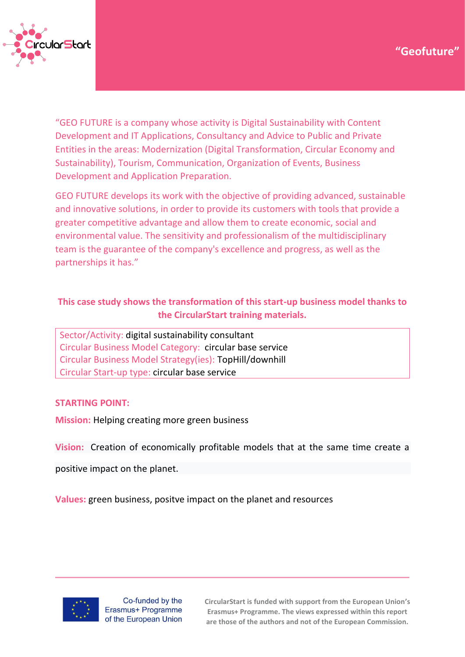

"GEO FUTURE is a company whose activity is Digital Sustainability with Content Development and IT Applications, Consultancy and Advice to Public and Private Entities in the areas: Modernization (Digital Transformation, Circular Economy and Sustainability), Tourism, Communication, Organization of Events, Business Development and Application Preparation.

GEO FUTURE develops its work with the objective of providing advanced, sustainable and innovative solutions, in order to provide its customers with tools that provide a greater competitive advantage and allow them to create economic, social and environmental value. The sensitivity and professionalism of the multidisciplinary team is the guarantee of the company's excellence and progress, as well as the partnerships it has."

# **This case study shows the transformation of this start-up business model thanks to the CircularStart training materials.**

Sector/Activity: digital sustainability consultant Circular Business Model Category: circular base service Circular Business Model Strategy(ies): TopHill/downhill Circular Start-up type: circular base service

### **STARTING POINT:**

**Mission:** Helping creating more green business

**Vision:** Creation of economically profitable models that at the same time create a

positive impact on the planet.

**Values:** green business, positve impact on the planet and resources



Co-funded by the Erasmus+ Programme of the European Union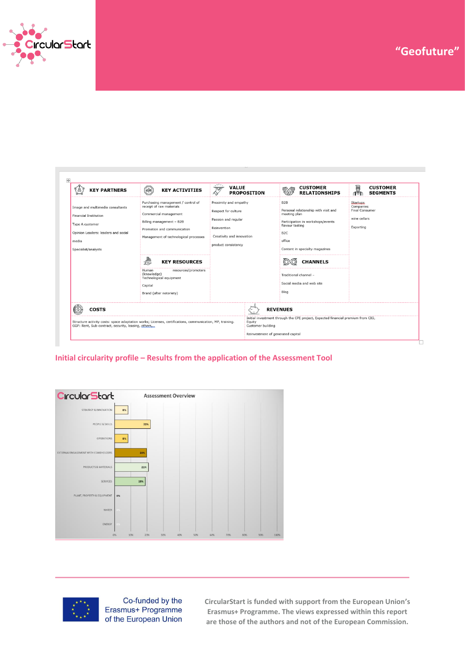

| <b>KEY PARTNERS</b>                                                                                                                                        | <b>ADRY</b><br><b>KEY ACTIVITIES</b>                                                                                                                                                                                                                                                                                                     | $\cdot$<br><b>VALUE</b><br>Ţ<br><b>PROPOSITION</b>                                                                                     | <b>CUSTOMER</b><br><b>RELATIONSHIPS</b>                                                                                                                                                                                                                                          | 圝<br><b>CUSTOMER</b><br><b>SEGMENTS</b>                               |
|------------------------------------------------------------------------------------------------------------------------------------------------------------|------------------------------------------------------------------------------------------------------------------------------------------------------------------------------------------------------------------------------------------------------------------------------------------------------------------------------------------|----------------------------------------------------------------------------------------------------------------------------------------|----------------------------------------------------------------------------------------------------------------------------------------------------------------------------------------------------------------------------------------------------------------------------------|-----------------------------------------------------------------------|
| Image and multimedia consultants<br><b>Financial Institution</b><br>Type A customer<br>Opinion Leaders: leaders and social<br>media<br>Specialist/analysts | Purchasing management / control of<br>receipt of raw materials<br>Commercial management<br>Billing management - B2B<br>Promotion and communication<br>Management of technological processes<br>₩<br><b>KEY RESOURCES</b><br>resources/promoters<br>Human<br>(knowledge)<br>Technological equipment<br>Capital<br>Brand (after notoriety) | Proximity and empathy<br>Respect for culture<br>Passion and regular<br>Reinvention<br>Creativity and innovation<br>product consistency | B <sub>2</sub> B<br>Personal relationship with visit and<br>meeting plan<br>Participation in workshops/events<br>flavour tasting<br>B <sub>2C</sub><br>office<br>Content in specialty magazines<br><b>CHANNELS</b><br>Traditional channel -<br>Social media and web site<br>Blog | Startups,<br>Companies<br>Final Consumer<br>wine cellars<br>Exporting |
| <b>COSTS</b><br>GGF: Rent, Sub-contract, security, leasing, others,                                                                                        | Structure activity costs: space adaptation works; Licenses, certifications, communication, MP, training.                                                                                                                                                                                                                                 | Equity<br>Customer building                                                                                                            | <b>REVENUES</b><br>Initial investment through the CPE project, Expected financial premium from CIG,                                                                                                                                                                              |                                                                       |
|                                                                                                                                                            |                                                                                                                                                                                                                                                                                                                                          |                                                                                                                                        | Reinvestment of generated capital                                                                                                                                                                                                                                                |                                                                       |

#### **Initial circularity profile – Results from the application of the Assessment Tool**





Co-funded by the Erasmus+ Programme of the European Union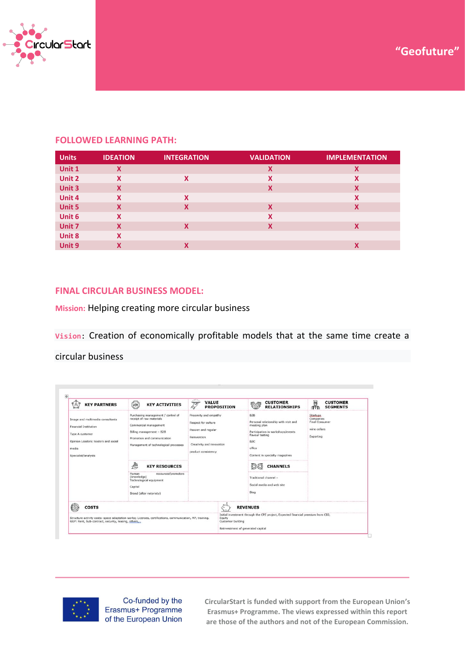



### **FOLLOWED LEARNING PATH:**

| <b>Units</b>  | <b>IDEATION</b> | <b>INTEGRATION</b> | <b>VALIDATION</b> | <b>IMPLEMENTATION</b> |
|---------------|-----------------|--------------------|-------------------|-----------------------|
| Unit 1        | X               |                    | X                 | X                     |
| Unit 2        | X               | X                  | Χ                 | x                     |
| Unit 3        | X               |                    | X                 | X                     |
| Unit 4        | X               | X                  |                   | X                     |
| <b>Unit 5</b> | X               | X                  | X                 | X                     |
| Unit 6        | X               |                    | X                 |                       |
| Unit 7        | X               | X                  | X                 | X                     |
| Unit 8        | X               |                    |                   |                       |
| Unit 9        | X               | Χ                  |                   | Χ                     |

### **FINAL CIRCULAR BUSINESS MODEL:**

**Mission:** Helping creating more circular business

**Vision**: Creation of economically profitable models that at the same time create a

circular business

| <b>KEY PARTNERS</b><br>8                                                                                                                                   | <b>ADR</b><br><b>KEY ACTIVITIES</b>                                                                                                                                                                                                                                                                                                      | 188.6<br><b>VALUE</b><br><u>ta</u>                                                                                                     | <b>PROPOSITION</b>                                               | <b>CUSTOMER</b><br><b>RELATIONSHIPS</b>                                                                                                                                                                                 | Ā<br><b>CUSTOMER</b><br><b>SEGMENTS</b>                                            |
|------------------------------------------------------------------------------------------------------------------------------------------------------------|------------------------------------------------------------------------------------------------------------------------------------------------------------------------------------------------------------------------------------------------------------------------------------------------------------------------------------------|----------------------------------------------------------------------------------------------------------------------------------------|------------------------------------------------------------------|-------------------------------------------------------------------------------------------------------------------------------------------------------------------------------------------------------------------------|------------------------------------------------------------------------------------|
| Image and multimedia consultants<br><b>Financial Institution</b><br>Type A customer<br>Opinion Leaders: leaders and social<br>media<br>Specialist/analysts | Purchasing management / control of<br>receipt of raw materials<br>Commercial management<br>Billing management - B2B<br>Promotion and communication<br>Management of technological processes<br>₩<br><b>KEY RESOURCES</b><br>resources/promoters<br>Human<br>(knowledge)<br>Technological equipment<br>Capital<br>Brand (after notoriety) | Proximity and empathy<br>Respect for culture<br>Passion and regular<br>Reinvention<br>Creativity and innovation<br>product consistency | <b>B2B</b><br>B <sub>2</sub> C<br>office<br>Blog                 | Personal relationship with visit and<br>meeting plan<br>Participation in workshops/events<br>flavour tasting<br>Content in specialty magazines<br><b>CHANNELS</b><br>Traditional channel -<br>Social media and web site | <b>Startups</b><br>Companies<br><b>Final Consumer</b><br>wine cellars<br>Exporting |
| <b>COSTS</b>                                                                                                                                               |                                                                                                                                                                                                                                                                                                                                          |                                                                                                                                        | <b>REVENUES</b>                                                  |                                                                                                                                                                                                                         |                                                                                    |
| GGF: Rent, Sub-contract, security, leasing, others,                                                                                                        | Structure activity costs: space adaptation works; Licenses, certifications, communication, MP, training,                                                                                                                                                                                                                                 |                                                                                                                                        | Equity<br>Customer building<br>Reinvestment of generated capital | Initial investment through the CPE project, Expected financial premium from CIG,                                                                                                                                        |                                                                                    |



Co-funded by the Erasmus+ Programme of the European Union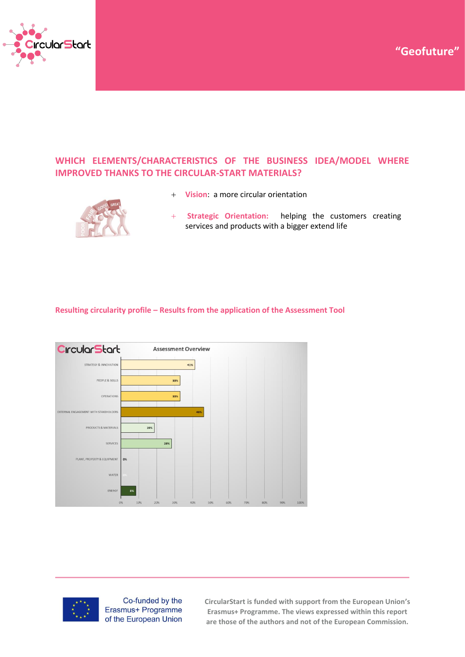**Case Study – "Title" "Geofuture"**



## **WHICH ELEMENTS/CHARACTERISTICS OF THE BUSINESS IDEA/MODEL WHERE IMPROVED THANKS TO THE CIRCULAR-START MATERIALS?**



- + **Vision**: a more circular orientation
- **Strategic Orientation:** helping the customers creating services and products with a bigger extend life

#### **Resulting circularity profile – Results from the application of the Assessment Tool**





Co-funded by the Erasmus+ Programme of the European Union